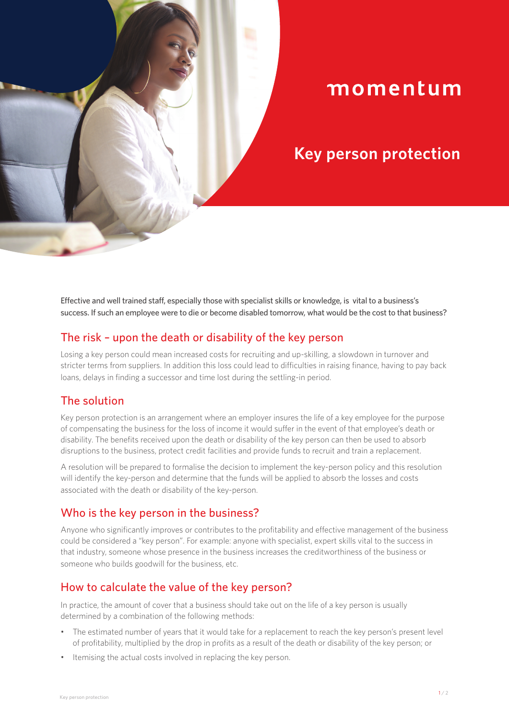# momentum

## **Key person protection**

Effective and well trained staff, especially those with specialist skills or knowledge, is vital to a business's success. If such an employee were to die or become disabled tomorrow, what would be the cost to that business?

## The risk – upon the death or disability of the key person

Losing a key person could mean increased costs for recruiting and up-skilling, a slowdown in turnover and stricter terms from suppliers. In addition this loss could lead to difficulties in raising finance, having to pay back loans, delays in finding a successor and time lost during the settling-in period.

## The solution

Key person protection is an arrangement where an employer insures the life of a key employee for the purpose of compensating the business for the loss of income it would suffer in the event of that employee's death or disability. The benefits received upon the death or disability of the key person can then be used to absorb disruptions to the business, protect credit facilities and provide funds to recruit and train a replacement.

A resolution will be prepared to formalise the decision to implement the key-person policy and this resolution will identify the key-person and determine that the funds will be applied to absorb the losses and costs associated with the death or disability of the key-person.

## Who is the key person in the business?

Anyone who significantly improves or contributes to the profitability and effective management of the business could be considered a "key person". For example: anyone with specialist, expert skills vital to the success in that industry, someone whose presence in the business increases the creditworthiness of the business or someone who builds goodwill for the business, etc.

## How to calculate the value of the key person?

In practice, the amount of cover that a business should take out on the life of a key person is usually determined by a combination of the following methods:

- The estimated number of years that it would take for a replacement to reach the key person's present level of profitability, multiplied by the drop in profits as a result of the death or disability of the key person; or
- Itemising the actual costs involved in replacing the key person.